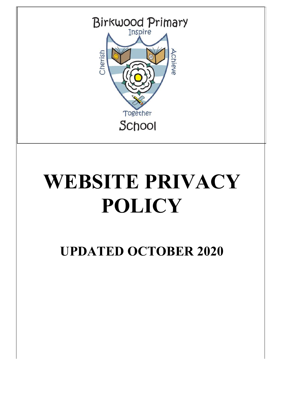

# **WEBSITE PRIVACY POLICY**

**UPDATED OCTOBER 2020**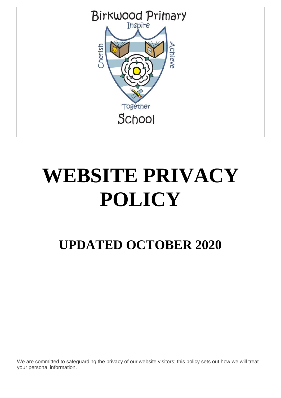

# **WEBSITE PRIVACY POLICY**

# **UPDATED OCTOBER 2020**

We are committed to safeguarding the privacy of our website visitors; this policy sets out how we will treat your personal information.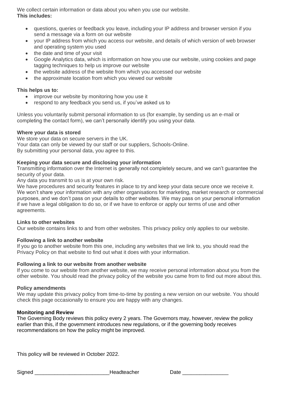We collect certain information or data about you when you use our website. **This includes:**

- questions, queries or feedback you leave, including your IP address and browser version if you send a message via a form on our website
- your IP address from which you access our website, and details of which version of web browser and operating system you used
- the date and time of your visit
- Google Analytics data, which is information on how you use our website, using cookies and page tagging techniques to help us improve our website
- the website address of the website from which you accessed our website
- the approximate location from which you viewed our website

### **This helps us to:**

- improve our website by monitoring how you use it
- respond to any feedback you send us, if you've asked us to

Unless you voluntarily submit personal information to us (for example, by sending us an e-mail or completing the contact form), we can't personally identify you using your data.

#### **Where your data is stored**

We store your data on secure servers in the UK. Your data can only be viewed by our staff or our suppliers, Schools-Online. By submitting your personal data, you agree to this.

## **Keeping your data secure and disclosing your information**

Transmitting information over the Internet is generally not completely secure, and we can't guarantee the security of your data.

Any data you transmit to us is at your own risk.

We have procedures and security features in place to try and keep your data secure once we receive it. We won't share your information with any other organisations for marketing, market research or commercial purposes, and we don't pass on your details to other websites. We may pass on your personal information if we have a legal obligation to do so, or if we have to enforce or apply our terms of use and other agreements.

#### **Links to other websites**

Our website contains links to and from other websites. This privacy policy only applies to our website.

## **Following a link to another website**

If you go to another website from this one, including any websites that we link to, you should read the Privacy Policy on that website to find out what it does with your information.

#### **Following a link to our website from another website**

If you come to our website from another website, we may receive personal information about you from the other website. You should read the privacy policy of the website you came from to find out more about this.

#### **Policy amendments**

We may update this privacy policy from time-to-time by posting a new version on our website. You should check this page occasionally to ensure you are happy with any changes.

#### **Monitoring and Review**

The Governing Body reviews this policy every 2 years. The Governors may, however, review the policy earlier than this, if the government introduces new regulations, or if the governing body receives recommendations on how the policy might be improved.

This policy will be reviewed in October 2022.

| signea |
|--------|
|--------|

Headteacher Date \_\_\_\_\_\_\_\_\_\_